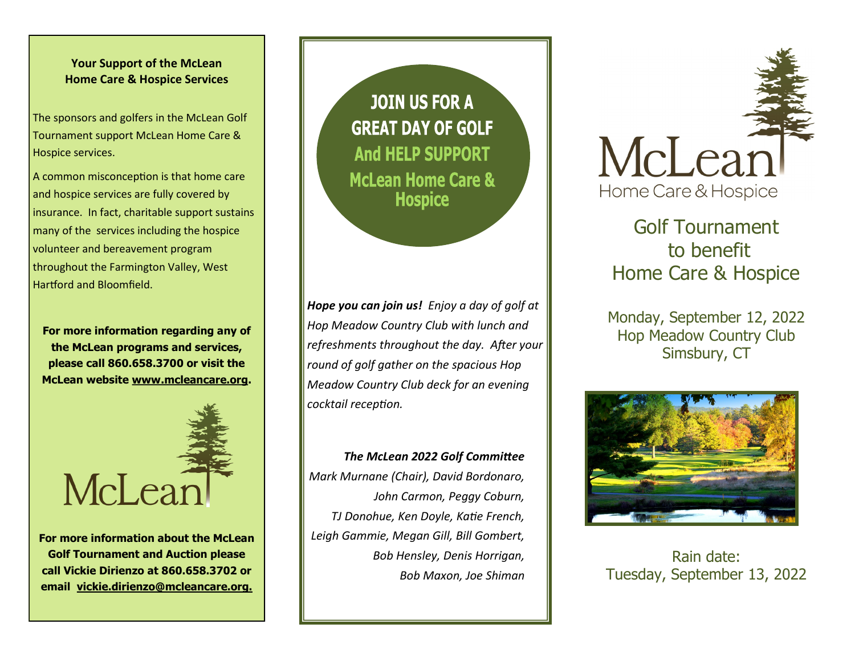#### **Your Support of the McLean Home Care & Hospice Services**

The sponsors and golfers in the McLean Golf Tournament support McLean Home Care & Hospice services.

A common misconception is that home care and hospice services are fully covered by insurance. In fact, charitable support sustains many of the services including the hospice volunteer and bereavement program throughout the Farmington Valley, West Hartford and Bloomfield.

**For more information regarding any of the McLean programs and services, please call 860.658.3700 or visit the McLean website www.mcleancare.org.**



**For more information about the McLean Golf Tournament and Auction please call Vickie Dirienzo at 860.658.3702 or email vickie.dirienzo@mcleancare.org.**

**JOIN US FOR A GREAT DAY OF GOLF And HELP SUPPORT McLean Home Care & Hospice** 

*Hope you can join us! Enjoy a day of golf at Hop Meadow Country Club with lunch and refreshments throughout the day. After your round of golf gather on the spacious Hop Meadow Country Club deck for an evening cocktail reception.*

*The McLean 2022 Golf Committee Mark Murnane (Chair), David Bordonaro, John Carmon, Peggy Coburn, TJ Donohue, Ken Doyle, Katie French, Leigh Gammie, Megan Gill, Bill Gombert, Bob Hensley, Denis Horrigan, Bob Maxon, Joe Shiman* 



Golf Tournament to benefit Home Care & Hospice

Monday, September 12, 2022 Hop Meadow Country Club Simsbury, CT



Rain date: Tuesday, September 13, 2022